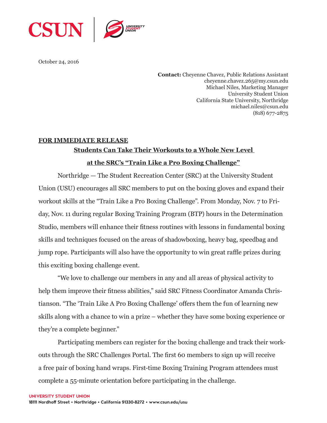

October 24, 2016

**Contact:** Cheyenne Chavez, Public Relations Assistant cheyenne.chavez.265@my.csun.edu Michael Niles, Marketing Manager University Student Union California State University, Northridge michael.niles@csun.edu (818) 677-2875

## **FOR IMMEDIATE RELEASE Students Can Take Their Workouts to a Whole New Level**

## **at the SRC's "Train Like a Pro Boxing Challenge"**

Northridge — The Student Recreation Center (SRC) at the University Student Union (USU) encourages all SRC members to put on the boxing gloves and expand their workout skills at the "Train Like a Pro Boxing Challenge". From Monday, Nov. 7 to Friday, Nov. 11 during regular Boxing Training Program (BTP) hours in the Determination Studio, members will enhance their fitness routines with lessons in fundamental boxing skills and techniques focused on the areas of shadowboxing, heavy bag, speedbag and jump rope. Participants will also have the opportunity to win great raffle prizes during this exciting boxing challenge event.

"We love to challenge our members in any and all areas of physical activity to help them improve their fitness abilities," said SRC Fitness Coordinator Amanda Christianson. "The 'Train Like A Pro Boxing Challenge' offers them the fun of learning new skills along with a chance to win a prize – whether they have some boxing experience or they're a complete beginner."

Participating members can register for the boxing challenge and track their workouts through the SRC Challenges Portal. The first 60 members to sign up will receive a free pair of boxing hand wraps. First-time Boxing Training Program attendees must complete a 55-minute orientation before participating in the challenge.